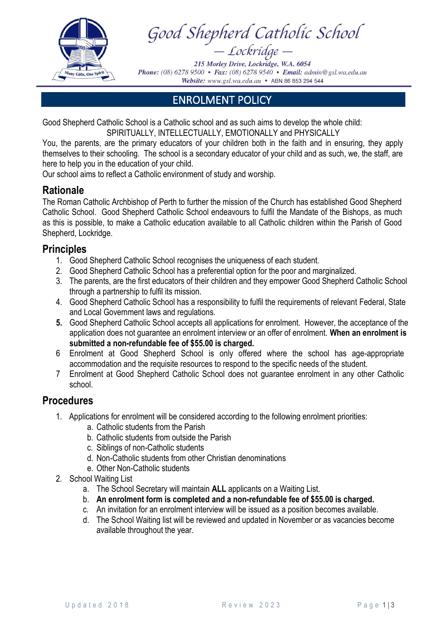

Good Shepherd Catholic School - Lockridge -

215 Morley Drive, Lockridge, W.A. 6054 **Phone:** (08) 6278 9500 • Fax: (08) 6278 9540 • Email: admin@gsl.wa.edu.au Website: www.gsl.wa.edu.au • ABN 86 853 294 544

ENROLMENT POLICY

Good Shepherd Catholic School is a Catholic school and as such aims to develop the whole child: SPIRITUALLY, INTELLECTUALLY, EMOTIONALLY and PHYSICALLY

You, the parents, are the primary educators of your children both in the faith and in ensuring, they apply themselves to their schooling. The school is a secondary educator of your child and as such, we, the staff, are here to help you in the education of your child.

Our school aims to reflect a Catholic environment of study and worship.

## **Rationale**

The Roman Catholic Archbishop of Perth to further the mission of the Church has established Good Shepherd Catholic School. Good Shepherd Catholic School endeavours to fulfil the Mandate of the Bishops, as much as this is possible, to make a Catholic education available to all Catholic children within the Parish of Good Shepherd, Lockridge.

## **Principles**

- 1. Good Shepherd Catholic School recognises the uniqueness of each student.
- 2. Good Shepherd Catholic School has a preferential option for the poor and marginalized.
- 3. The parents, are the first educators of their children and they empower Good Shepherd Catholic School through a partnership to fulfil its mission.
- 4. Good Shepherd Catholic School has a responsibility to fulfil the requirements of relevant Federal, State and Local Government laws and regulations.
- **5.** Good Shepherd Catholic School accepts all applications for enrolment. However, the acceptance of the application does not guarantee an enrolment interview or an offer of enrolment. **When an enrolment is submitted a non-refundable fee of \$55.00 is charged.**
- 6 Enrolment at Good Shepherd School is only offered where the school has age-appropriate accommodation and the requisite resources to respond to the specific needs of the student.
- 7 Enrolment at Good Shepherd Catholic School does not guarantee enrolment in any other Catholic school.

## **Procedures**

- 1. Applications for enrolment will be considered according to the following enrolment priorities:
	- a. Catholic students from the Parish
	- b. Catholic students from outside the Parish
	- c. Siblings of non-Catholic students
	- d. Non-Catholic students from other Christian denominations
	- e. Other Non-Catholic students
- 2. School Waiting List
	- a. The School Secretary will maintain **ALL** applicants on a Waiting List.
	- b. **An enrolment form is completed and a non-refundable fee of \$55.00 is charged.**
	- c. An invitation for an enrolment interview will be issued as a position becomes available.
	- d. The School Waiting list will be reviewed and updated in November or as vacancies become available throughout the year.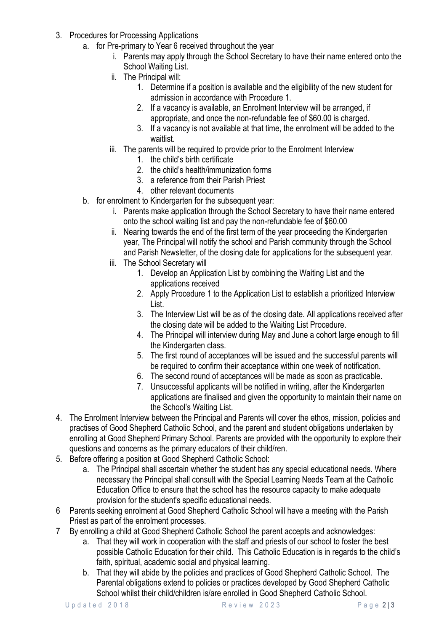- 3. Procedures for Processing Applications
	- a. for Pre-primary to Year 6 received throughout the year
		- i. Parents may apply through the School Secretary to have their name entered onto the School Waiting List.
		- ii. The Principal will:
			- 1. Determine if a position is available and the eligibility of the new student for admission in accordance with Procedure 1.
			- 2. If a vacancy is available, an Enrolment Interview will be arranged, if appropriate, and once the non-refundable fee of \$60.00 is charged.
			- 3. If a vacancy is not available at that time, the enrolment will be added to the waitlist.
		- iii. The parents will be required to provide prior to the Enrolment Interview
			- 1. the child's birth certificate
			- 2. the child's health/immunization forms
			- 3. a reference from their Parish Priest
			- 4. other relevant documents
	- b. for enrolment to Kindergarten for the subsequent year:
		- i. Parents make application through the School Secretary to have their name entered onto the school waiting list and pay the non-refundable fee of \$60.00
		- ii. Nearing towards the end of the first term of the year proceeding the Kindergarten year, The Principal will notify the school and Parish community through the School and Parish Newsletter, of the closing date for applications for the subsequent year.
		- iii. The School Secretary will
			- 1. Develop an Application List by combining the Waiting List and the applications received
			- 2. Apply Procedure 1 to the Application List to establish a prioritized Interview List.
			- 3. The Interview List will be as of the closing date. All applications received after the closing date will be added to the Waiting List Procedure.
			- 4. The Principal will interview during May and June a cohort large enough to fill the Kindergarten class.
			- 5. The first round of acceptances will be issued and the successful parents will be required to confirm their acceptance within one week of notification.
			- 6. The second round of acceptances will be made as soon as practicable.
			- 7. Unsuccessful applicants will be notified in writing, after the Kindergarten applications are finalised and given the opportunity to maintain their name on the School's Waiting List.
- 4. The Enrolment Interview between the Principal and Parents will cover the ethos, mission, policies and practises of Good Shepherd Catholic School, and the parent and student obligations undertaken by enrolling at Good Shepherd Primary School. Parents are provided with the opportunity to explore their questions and concerns as the primary educators of their child/ren.
- 5. Before offering a position at Good Shepherd Catholic School:
	- a. The Principal shall ascertain whether the student has any special educational needs. Where necessary the Principal shall consult with the Special Learning Needs Team at the Catholic Education Office to ensure that the school has the resource capacity to make adequate provision for the student's specific educational needs.
- 6 Parents seeking enrolment at Good Shepherd Catholic School will have a meeting with the Parish Priest as part of the enrolment processes.
- 7 By enrolling a child at Good Shepherd Catholic School the parent accepts and acknowledges:
	- a. That they will work in cooperation with the staff and priests of our school to foster the best possible Catholic Education for their child. This Catholic Education is in regards to the child's faith, spiritual, academic social and physical learning.
	- b. That they will abide by the policies and practices of Good Shepherd Catholic School. The Parental obligations extend to policies or practices developed by Good Shepherd Catholic School whilst their child/children is/are enrolled in Good Shepherd Catholic School.